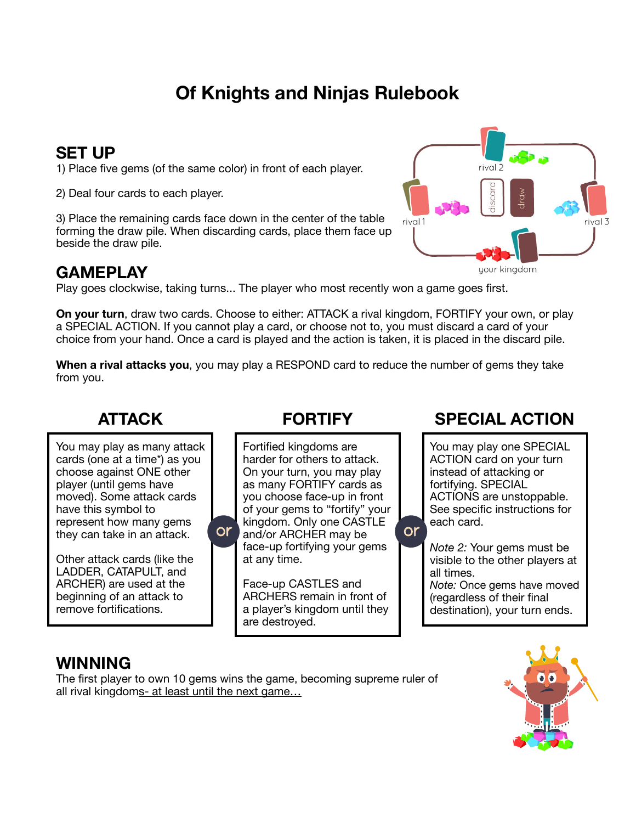# **Of Knights and Ninjas Rulebook**

### **SET UP**

1) Place five gems (of the same color) in front of each player.

2) Deal four cards to each player.

3) Place the remaining cards face down in the center of the table forming the draw pile. When discarding cards, place them face up beside the draw pile.



#### **GAMEPLAY**

Play goes clockwise, taking turns... The player who most recently won a game goes first.

**On your turn**, draw two cards. Choose to either: ATTACK a rival kingdom, FORTIFY your own, or play a SPECIAL ACTION. If you cannot play a card, or choose not to, you must discard a card of your choice from your hand. Once a card is played and the action is taken, it is placed in the discard pile.

**When a rival attacks you**, you may play a RESPOND card to reduce the number of gems they take from you.

# **ATTACK**

You may play as many attack cards (one at a time\*) as you choose against ONE other player (until gems have moved). Some attack cards have this symbol to represent how many gems they can take in an attack.

Other attack cards (like the LADDER, CATAPULT, and ARCHER) are used at the beginning of an attack to remove fortifications.

**FORTIFY** 

Fortified kingdoms are harder for others to attack. On your turn, you may play as many FORTIFY cards as you choose face-up in front of your gems to "fortify" your kingdom. Only one CASTLE  $\text{or }$   $\frac{\text{Mrgdoint. Only one} \times \text{MLE}}{\text{and/or } \text{ARCHER} \times \text{MSE}}$  or face-up fortifying your gems at any time.

> Face-up CASTLES and ARCHERS remain in front of a player's kingdom until they are destroyed.

# **SPECIAL ACTION**

You may play one SPECIAL ACTION card on your turn instead of attacking or fortifying. SPECIAL ACTIONS are unstoppable. See specific instructions for each card.

*Note 2:* Your gems must be visible to the other players at all times. *Note:* Once gems have moved (regardless of their final destination), your turn ends.

#### **WINNING**

The first player to own 10 gems wins the game, becoming supreme ruler of all rival kingdoms- at least until the next game…

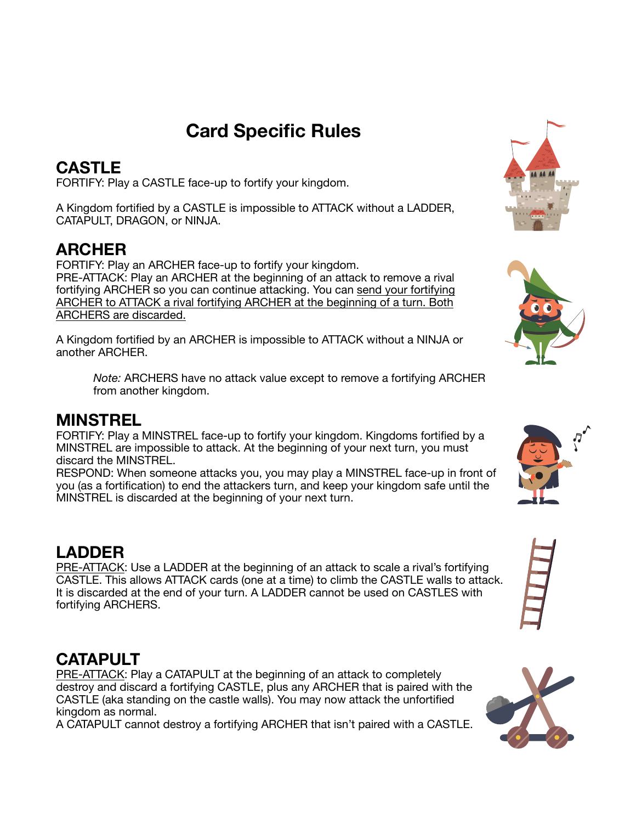# **Card Specific Rules**

## **CASTLE**

FORTIFY: Play a CASTLE face-up to fortify your kingdom.

A Kingdom fortified by a CASTLE is impossible to ATTACK without a LADDER, CATAPULT, DRAGON, or NINJA.

### **ARCHER**

FORTIFY: Play an ARCHER face-up to fortify your kingdom. PRE-ATTACK: Play an ARCHER at the beginning of an attack to remove a rival fortifying ARCHER so you can continue attacking. You can send your fortifying ARCHER to ATTACK a rival fortifying ARCHER at the beginning of a turn. Both ARCHERS are discarded.

A Kingdom fortified by an ARCHER is impossible to ATTACK without a NINJA or another ARCHER.

*Note:* ARCHERS have no attack value except to remove a fortifying ARCHER from another kingdom.

#### **MINSTREL**

FORTIFY: Play a MINSTREL face-up to fortify your kingdom. Kingdoms fortified by a MINSTREL are impossible to attack. At the beginning of your next turn, you must discard the MINSTREL.

RESPOND: When someone attacks you, you may play a MINSTREL face-up in front of you (as a fortification) to end the attackers turn, and keep your kingdom safe until the MINSTREL is discarded at the beginning of your next turn.

### **LADDER**

PRE-ATTACK: Use a LADDER at the beginning of an attack to scale a rival's fortifying CASTLE. This allows ATTACK cards (one at a time) to climb the CASTLE walls to attack. It is discarded at the end of your turn. A LADDER cannot be used on CASTLES with fortifying ARCHERS.

### **CATAPULT**

PRE-ATTACK: Play a CATAPULT at the beginning of an attack to completely destroy and discard a fortifying CASTLE, plus any ARCHER that is paired with the CASTLE (aka standing on the castle walls). You may now attack the unfortified kingdom as normal.

A CATAPULT cannot destroy a fortifying ARCHER that isn't paired with a CASTLE.









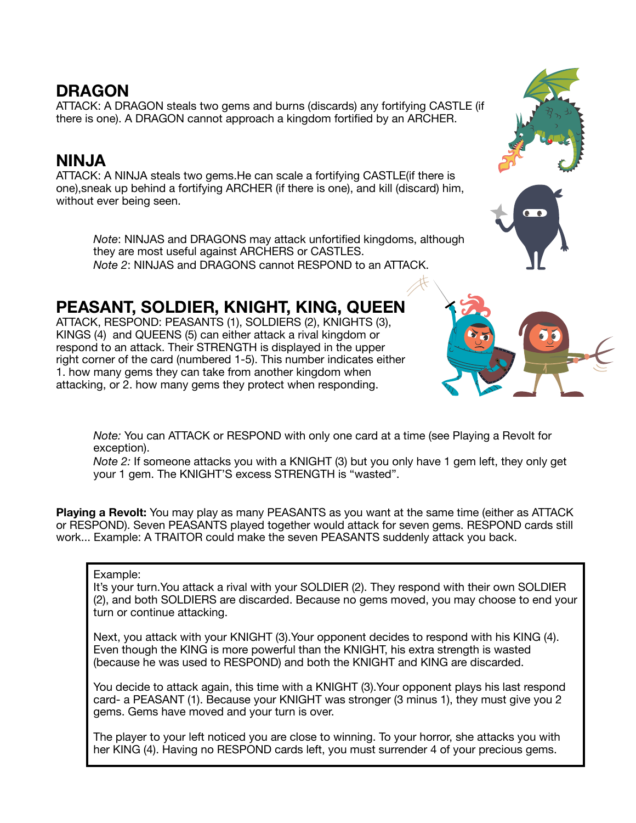#### **DRAGON**

ATTACK: A DRAGON steals two gems and burns (discards) any fortifying CASTLE (if there is one). A DRAGON cannot approach a kingdom fortified by an ARCHER.

### **NINJA**

ATTACK: A NINJA steals two gems.He can scale a fortifying CASTLE(if there is one),sneak up behind a fortifying ARCHER (if there is one), and kill (discard) him, without ever being seen.

*Note*: NINJAS and DRAGONS may attack unfortified kingdoms, although they are most useful against ARCHERS or CASTLES. *Note 2*: NINJAS and DRAGONS cannot RESPOND to an ATTACK.

# **PEASANT, SOLDIER, KNIGHT, KING, QUEEN**

ATTACK, RESPOND: PEASANTS (1), SOLDIERS (2), KNIGHTS (3), KINGS (4) and QUEENS (5) can either attack a rival kingdom or respond to an attack. Their STRENGTH is displayed in the upper right corner of the card (numbered 1-5). This number indicates either 1. how many gems they can take from another kingdom when attacking, or 2. how many gems they protect when responding.

> *Note:* You can ATTACK or RESPOND with only one card at a time (see Playing a Revolt for exception).

*Note 2:* If someone attacks you with a KNIGHT (3) but you only have 1 gem left, they only get your 1 gem. The KNIGHT'S excess STRENGTH is "wasted".

**Playing a Revolt:** You may play as many PEASANTS as you want at the same time (either as ATTACK or RESPOND). Seven PEASANTS played together would attack for seven gems. RESPOND cards still work... Example: A TRAITOR could make the seven PEASANTS suddenly attack you back.

#### Example:

It's your turn.You attack a rival with your SOLDIER (2). They respond with their own SOLDIER (2), and both SOLDIERS are discarded. Because no gems moved, you may choose to end your turn or continue attacking.

Next, you attack with your KNIGHT (3).Your opponent decides to respond with his KING (4). Even though the KING is more powerful than the KNIGHT, his extra strength is wasted (because he was used to RESPOND) and both the KNIGHT and KING are discarded.

You decide to attack again, this time with a KNIGHT (3).Your opponent plays his last respond card- a PEASANT (1). Because your KNIGHT was stronger (3 minus 1), they must give you 2 gems. Gems have moved and your turn is over.

The player to your left noticed you are close to winning. To your horror, she attacks you with her KING (4). Having no RESPOND cards left, you must surrender 4 of your precious gems.





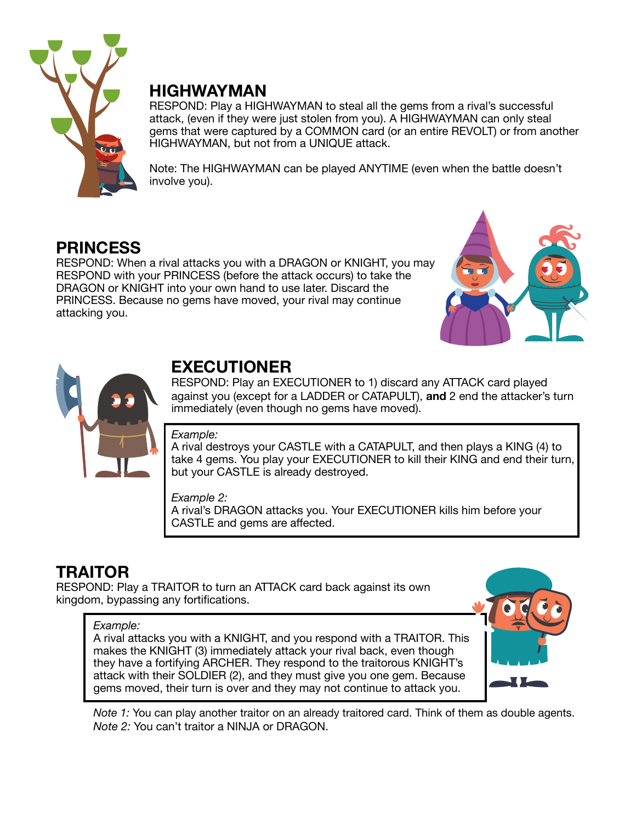

#### **HIGHWAYMAN**

RESPOND: Play a HIGHWAYMAN to steal all the gems from a rival's successful attack, (even if they were just stolen from you). A HIGHWAYMAN can only steal gems that were captured by a COMMON card (or an entire REVOLT) or from another HIGHWAYMAN, but not from a UNIQUE attack.

Note: The HIGHWAYMAN can be played ANYTIME (even when the battle doesn't involve you).

### **PRINCESS**

RESPOND: When a rival attacks you with a DRAGON or KNIGHT, you may RESPOND with your PRINCESS (before the attack occurs) to take the DRAGON or KNIGHT into your own hand to use later. Discard the PRINCESS. Because no gems have moved, your rival may continue attacking you.





## **EXECUTIONER**

RESPOND: Play an EXECUTIONER to 1) discard any ATTACK card played against you (except for a LADDER or CATAPULT), **and** 2 end the attacker's turn immediately (even though no gems have moved).

#### *Example:*

A rival destroys your CASTLE with a CATAPULT, and then plays a KING (4) to take 4 gems. You play your EXECUTIONER to kill their KING and end their turn, but your CASTLE is already destroyed.

 *Example 2:* 

 A rival's DRAGON attacks you. Your EXECUTIONER kills him before your CASTLE and gems are affected.

# **TRAITOR**

RESPOND: Play a TRAITOR to turn an ATTACK card back against its own kingdom, bypassing any fortifications.

#### *Example:*

A rival attacks you with a KNIGHT, and you respond with a TRAITOR. This makes the KNIGHT (3) immediately attack your rival back, even though they have a fortifying ARCHER. They respond to the traitorous KNIGHT's attack with their SOLDIER (2), and they must give you one gem. Because gems moved, their turn is over and they may not continue to attack you.



*Note 1:* You can play another traitor on an already traitored card. Think of them as double agents. *Note 2:* You can't traitor a NINJA or DRAGON.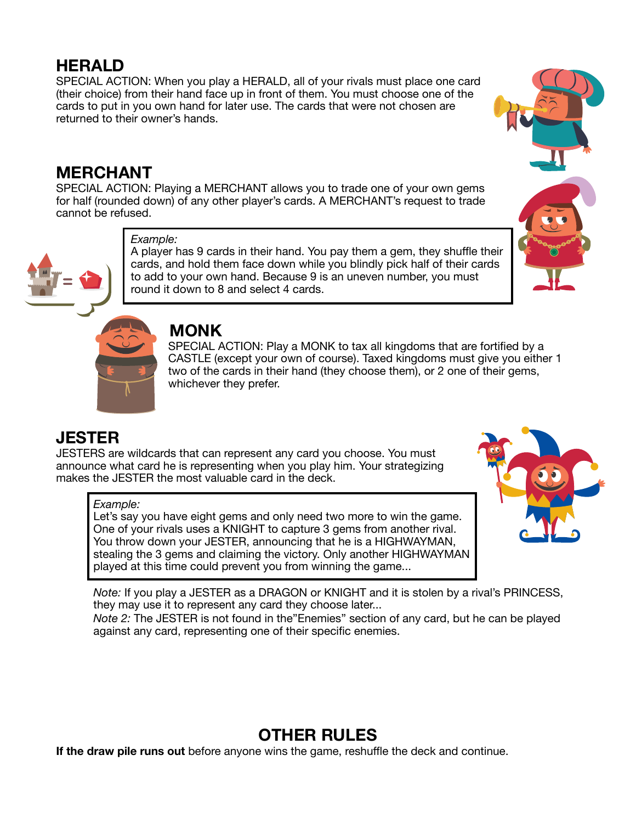### **HERALD**

SPECIAL ACTION: When you play a HERALD, all of your rivals must place one card (their choice) from their hand face up in front of them. You must choose one of the cards to put in you own hand for later use. The cards that were not chosen are returned to their owner's hands.



SPECIAL ACTION: Playing a MERCHANT allows you to trade one of your own gems for half (rounded down) of any other player's cards. A MERCHANT's request to trade cannot be refused.



#### *Example:*

A player has 9 cards in their hand. You pay them a gem, they shuffle their cards, and hold them face down while you blindly pick half of their cards to add to your own hand. Because 9 is an uneven number, you must round it down to 8 and select 4 cards.





#### **MONK**

SPECIAL ACTION: Play a MONK to tax all kingdoms that are fortified by a CASTLE (except your own of course). Taxed kingdoms must give you either 1 two of the cards in their hand (they choose them), or 2 one of their gems, whichever they prefer.

## **JESTER**

JESTERS are wildcards that can represent any card you choose. You must announce what card he is representing when you play him. Your strategizing makes the JESTER the most valuable card in the deck.

#### *Example:*

Let's say you have eight gems and only need two more to win the game. One of your rivals uses a KNIGHT to capture 3 gems from another rival. You throw down your JESTER, announcing that he is a HIGHWAYMAN, stealing the 3 gems and claiming the victory. Only another HIGHWAYMAN played at this time could prevent you from winning the game...



*Note:* If you play a JESTER as a DRAGON or KNIGHT and it is stolen by a rival's PRINCESS, they may use it to represent any card they choose later...

*Note 2:* The JESTER is not found in the"Enemies" section of any card, but he can be played against any card, representing one of their specific enemies.

## **OTHER RULES**

**If the draw pile runs out** before anyone wins the game, reshuffle the deck and continue.